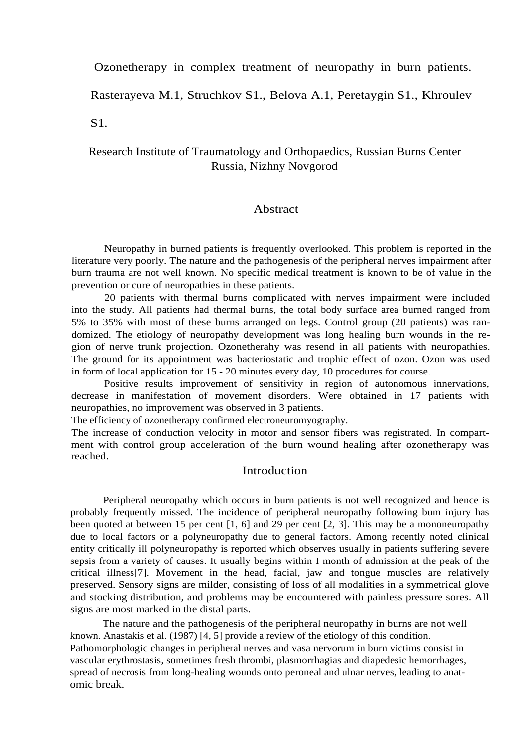#### Ozonetherapy in complex treatment of neuropathy in burn patients.

Rasterayeva M.1, Struchkov S1., Belova A.1, Peretaygin S1., Khroulev

S1.

# Research Institute of Traumatology and Orthopaedics, Russian Burns Center Russia, Nizhny Novgorod

#### Abstract

Neuropathy in burned patients is frequently overlooked. This problem is reported in the literature very poorly. The nature and the pathogenesis of the peripheral nerves impairment after burn trauma are not well known. No specific medical treatment is known to be of value in the prevention or cure of neuropathies in these patients.

20 patients with thermal burns complicated with nerves impairment were included into the study. All patients had thermal burns, the total body surface area burned ranged from 5% to 35% with most of these burns arranged on legs. Control group (20 patients) was randomized. The etiology of neuropathy development was long healing burn wounds in the region of nerve trunk projection. Ozonetherahy was resend in all patients with neuropathies. The ground for its appointment was bacteriostatic and trophic effect of ozon. Ozon was used in form of local application for 15 - 20 minutes every day, 10 procedures for course.

Positive results improvement of sensitivity in region of autonomous innervations, decrease in manifestation of movement disorders. Were obtained in 17 patients with neuropathies, no improvement was observed in 3 patients.

The efficiency of ozonetherapy confirmed electroneuromyography.

The increase of conduction velocity in motor and sensor fibers was registrated. In compartment with control group acceleration of the burn wound healing after ozonetherapy was reached.

### **Introduction**

Peripheral neuropathy which occurs in burn patients is not well recognized and hence is probably frequently missed. The incidence of peripheral neuropathy following bum injury has been quoted at between 15 per cent [1, 6] and 29 per cent [2, 3]. This may be a mononeuropathy due to local factors or a polyneuropathy due to general factors. Among recently noted clinical entity critically ill polyneuropathy is reported which observes usually in patients suffering severe sepsis from a variety of causes. It usually begins within I month of admission at the peak of the critical illness[7]. Movement in the head, facial, jaw and tongue muscles are relatively preserved. Sensory signs are milder, consisting of loss of all modalities in a symmetrical glove and stocking distribution, and problems may be encountered with painless pressure sores. All signs are most marked in the distal parts.

The nature and the pathogenesis of the peripheral neuropathy in burns are not well known. Anastakis et al. (1987) [4, 5] provide a review of the etiology of this condition. Pathomorphologic changes in peripheral nerves and vasa nervorum in burn victims consist in vascular erythrostasis, sometimes fresh thrombi, plasmorrhagias and diapedesic hemorrhages, spread of necrosis from long-healing wounds onto peroneal and ulnar nerves, leading to anatomic break.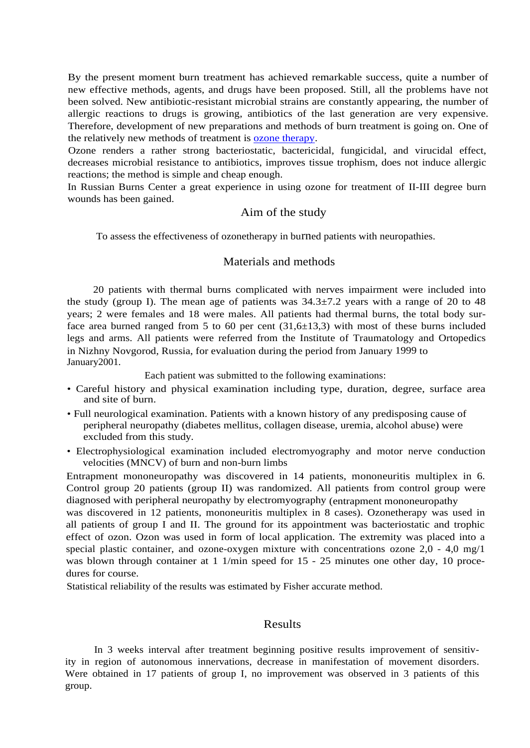By the present moment burn treatment has achieved remarkable success, quite a number of new effective methods, agents, and drugs have been proposed. Still, all the problems have not been solved. New antibiotic-resistant microbial strains are constantly appearing, the number of allergic reactions to drugs is growing, antibiotics of the last generation are very expensive. Therefore, development of new preparations and methods of burn treatment is going on. One of the relatively new methods of treatment is [ozone therapy.](http://www.ozonemachine.org/)

Ozone renders a rather strong bacteriostatic, bactericidal, fungicidal, and virucidal effect, decreases microbial resistance to antibiotics, improves tissue trophism, does not induce allergic reactions; the method is simple and cheap enough.

In Russian Burns Center a great experience in using ozone for treatment of II-III degree burn wounds has been gained.

#### Aim of the study

To assess the effectiveness of ozonetherapy in burned patients with neuropathies.

#### Materials and methods

20 patients with thermal burns complicated with nerves impairment were included into the study (group I). The mean age of patients was  $34.3\pm7.2$  years with a range of 20 to 48 years; 2 were females and 18 were males. All patients had thermal burns, the total body surface area burned ranged from 5 to 60 per cent  $(31,6\pm 13,3)$  with most of these burns included legs and arms. All patients were referred from the Institute of Traumatology and Ortopedics in Nizhny Novgorod, Russia, for evaluation during the period from January 1999 to January2001.

Each patient was submitted to the following examinations:

- Careful history and physical examination including type, duration, degree, surface area and site of burn.
- Full neurological examination. Patients with a known history of any predisposing cause of peripheral neuropathy (diabetes mellitus, collagen disease, uremia, alcohol abuse) were excluded from this study.
- Electrophysiological examination included electromyography and motor nerve conduction velocities (MNCV) of burn and non-burn limbs

Entrapment mononeuropathy was discovered in 14 patients, mononeuritis multiplex in 6. Control group 20 patients (group II) was randomized. All patients from control group were diagnosed with peripheral neuropathy by electromyography (entrapment mononeuropathy

was discovered in 12 patients, mononeuritis multiplex in 8 cases). Ozonetherapy was used in all patients of group I and II. The ground for its appointment was bacteriostatic and trophic effect of ozon. Ozon was used in form of local application. The extremity was placed into a special plastic container, and ozone-oxygen mixture with concentrations ozone  $2,0 - 4,0$  mg/1 was blown through container at 1 1/min speed for 15 - 25 minutes one other day, 10 procedures for course.

Statistical reliability of the results was estimated by Fisher accurate method.

## Results

In 3 weeks interval after treatment beginning positive results improvement of sensitivity in region of autonomous innervations, decrease in manifestation of movement disorders. Were obtained in 17 patients of group I, no improvement was observed in 3 patients of this group.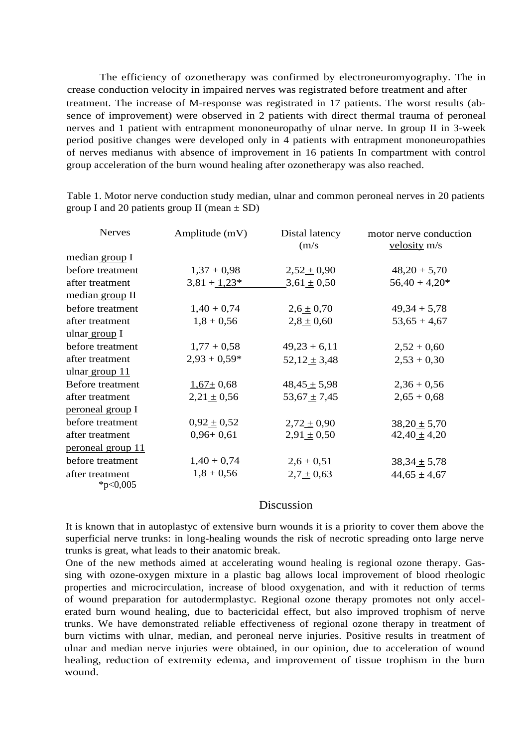The efficiency of ozonetherapy was confirmed by electroneuromyography. The in crease conduction velocity in impaired nerves was registrated before treatment and after treatment. The increase of M-response was registrated in 17 patients. The worst results (absence of improvement) were observed in 2 patients with direct thermal trauma of peroneal nerves and 1 patient with entrapment mononeuropathy of ulnar nerve. In group II in 3-week period positive changes were developed only in 4 patients with entrapment mononeuropathies of nerves medianus with absence of improvement in 16 patients In compartment with control group acceleration of the burn wound healing after ozonetherapy was also reached.

| <b>Nerves</b>                  | Amplitude (mV)  | Distal latency<br>(m/s) | motor nerve conduction<br>$velosity$ m/s |
|--------------------------------|-----------------|-------------------------|------------------------------------------|
| median group I                 |                 |                         |                                          |
| before treatment               | $1,37 + 0,98$   | $2,52 \pm 0,90$         | $48,20 + 5,70$                           |
| after treatment                | $3,81 + 1,23*$  | $3,61 \pm 0,50$         | $56,40 + 4,20*$                          |
| median group II                |                 |                         |                                          |
| before treatment               | $1,40 + 0,74$   | $2,6 \pm 0,70$          | $49,34 + 5,78$                           |
| after treatment                | $1,8 + 0,56$    | $2,8 \pm 0,60$          | $53,65 + 4,67$                           |
| ulnar group I                  |                 |                         |                                          |
| before treatment               | $1,77 + 0,58$   | $49,23 + 6,11$          | $2,52 + 0,60$                            |
| after treatment                | $2,93 + 0,59*$  | $52,12 \pm 3,48$        | $2,53 + 0,30$                            |
| ulnar group 11                 |                 |                         |                                          |
| Before treatment               | $1,67 \pm 0,68$ | $48,45 \pm 5,98$        | $2,36 + 0,56$                            |
| after treatment                | $2,21 \pm 0,56$ | $53,67 \pm 7,45$        | $2,65 + 0,68$                            |
| peroneal group I               |                 |                         |                                          |
| before treatment               | $0,92 \pm 0,52$ | $2,72 \pm 0,90$         | $38,20 \pm 5,70$                         |
| after treatment                | $0,96+0,61$     | $2,91 \pm 0,50$         | $42,40 \pm 4,20$                         |
| <u>peroneal group 11</u>       |                 |                         |                                          |
| before treatment               | $1,40 + 0,74$   | $2,6 \pm 0,51$          | $38,34 \pm 5,78$                         |
| after treatment<br>* $p<0,005$ | $1,8 + 0,56$    | $2,7 \pm 0,63$          | $44,65 \pm 4,67$                         |

Table 1. Motor nerve conduction study median, ulnar and common peroneal nerves in 20 patients group I and 20 patients group II (mean  $\pm$  SD)

#### Discussion

It is known that in autoplastyc of extensive burn wounds it is a priority to cover them above the superficial nerve trunks: in long-healing wounds the risk of necrotic spreading onto large nerve trunks is great, what leads to their anatomic break.

One of the new methods aimed at accelerating wound healing is regional ozone therapy. Gassing with ozone-oxygen mixture in a plastic bag allows local improvement of blood rheologic properties and microcirculation, increase of blood oxygenation, and with it reduction of terms of wound preparation for autodermplastyc. Regional ozone therapy promotes not only accelerated burn wound healing, due to bactericidal effect, but also improved trophism of nerve trunks. We have demonstrated reliable effectiveness of regional ozone therapy in treatment of burn victims with ulnar, median, and peroneal nerve injuries. Positive results in treatment of ulnar and median nerve injuries were obtained, in our opinion, due to acceleration of wound healing, reduction of extremity edema, and improvement of tissue trophism in the burn wound.